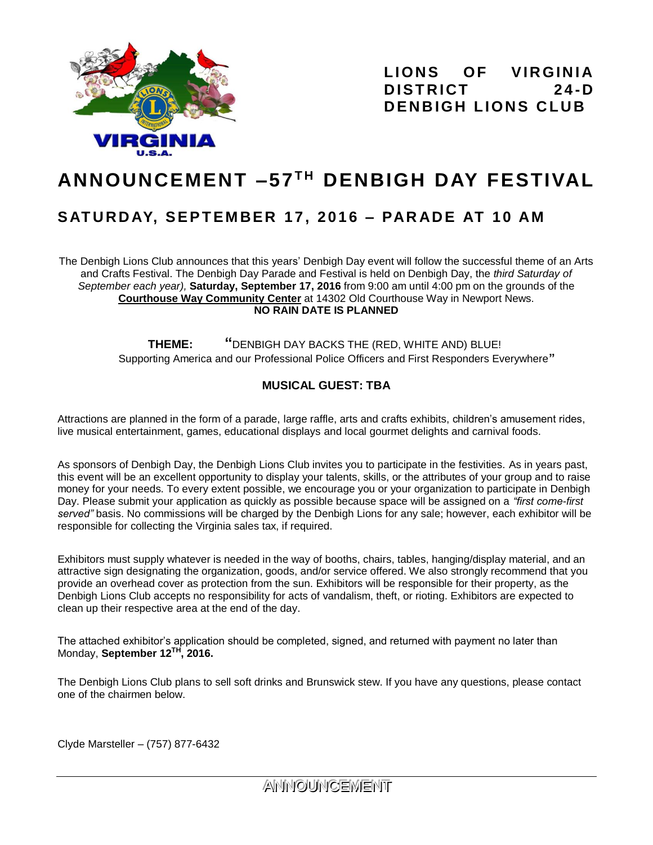

LIONS OF VIRGINIA  **D IS T R ICT 2 4 -D** *DENBIGH LIONS CLUB* 

# **ANNOUNCEMENT –57 T H DENBIGH DAY FESTIVAL**

# **S AT U RD AY, S E P T EM BER 1 7 , 2 0 1 6 – PAR AD E AT 1 0 AM**

The Denbigh Lions Club announces that this years' Denbigh Day event will follow the successful theme of an Arts and Crafts Festival. The Denbigh Day Parade and Festival is held on Denbigh Day, the *third Saturday of September each year),* **Saturday, September 17, 2016** from 9:00 am until 4:00 pm on the grounds of the **Courthouse Way Community Center** at 14302 Old Courthouse Way in Newport News. **NO RAIN DATE IS PLANNED**

> **THEME: "**DENBIGH DAY BACKS THE (RED, WHITE AND) BLUE! Supporting America and our Professional Police Officers and First Responders Everywhere**"**

## **MUSICAL GUEST: TBA**

Attractions are planned in the form of a parade, large raffle, arts and crafts exhibits, children's amusement rides, live musical entertainment, games, educational displays and local gourmet delights and carnival foods.

As sponsors of Denbigh Day, the Denbigh Lions Club invites you to participate in the festivities. As in years past, this event will be an excellent opportunity to display your talents, skills, or the attributes of your group and to raise money for your needs. To every extent possible, we encourage you or your organization to participate in Denbigh Day. Please submit your application as quickly as possible because space will be assigned on a *"first come-first served"* basis. No commissions will be charged by the Denbigh Lions for any sale; however, each exhibitor will be responsible for collecting the Virginia sales tax, if required.

Exhibitors must supply whatever is needed in the way of booths, chairs, tables, hanging/display material, and an attractive sign designating the organization, goods, and/or service offered. We also strongly recommend that you provide an overhead cover as protection from the sun. Exhibitors will be responsible for their property, as the Denbigh Lions Club accepts no responsibility for acts of vandalism, theft, or rioting. Exhibitors are expected to clean up their respective area at the end of the day.

The attached exhibitor's application should be completed, signed, and returned with payment no later than Monday, **September 12 TH , 2016.** 

The Denbigh Lions Club plans to sell soft drinks and Brunswick stew. If you have any questions, please contact one of the chairmen below.

Clyde Marsteller – (757) 877-6432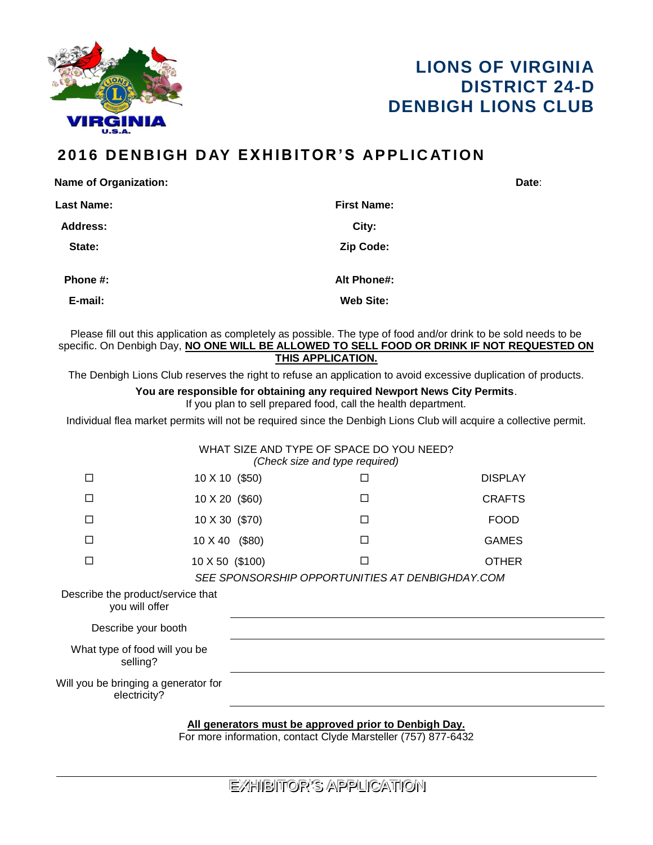



# **201 6 D E N B IGH D AY E X H I B I T O R ' S AP P L IC AT ION**

| <b>Name of Organization:</b> |                    | Date: |
|------------------------------|--------------------|-------|
| <b>Last Name:</b>            | <b>First Name:</b> |       |
| <b>Address:</b>              | City:              |       |
| State:                       | Zip Code:          |       |
| Phone #:                     | Alt Phone#:        |       |
| E-mail:                      | <b>Web Site:</b>   |       |
|                              |                    |       |

Please fill out this application as completely as possible. The type of food and/or drink to be sold needs to be specific. On Denbigh Day, **NO ONE WILL BE ALLOWED TO SELL FOOD OR DRINK IF NOT REQUESTED ON THIS APPLICATION.** 

The Denbigh Lions Club reserves the right to refuse an application to avoid excessive duplication of products.

## **You are responsible for obtaining any required Newport News City Permits**.

If you plan to sell prepared food, call the health department.

Individual flea market permits will not be required since the Denbigh Lions Club will acquire a collective permit.

|                                                                                                                        |                 |  | WHAT SIZE AND TYPE OF SPACE DO YOU NEED?<br>(Check size and type required) |                |  |  |
|------------------------------------------------------------------------------------------------------------------------|-----------------|--|----------------------------------------------------------------------------|----------------|--|--|
| П                                                                                                                      | 10 X 10 (\$50)  |  |                                                                            | <b>DISPLAY</b> |  |  |
| П                                                                                                                      | 10 X 20 (\$60)  |  | п                                                                          | <b>CRAFTS</b>  |  |  |
| П                                                                                                                      | 10 X 30 (\$70)  |  | П                                                                          | <b>FOOD</b>    |  |  |
| п                                                                                                                      | 10 X 40 (\$80)  |  | П                                                                          | <b>GAMES</b>   |  |  |
| П                                                                                                                      | 10 X 50 (\$100) |  | П                                                                          | <b>OTHER</b>   |  |  |
| SEE SPONSORSHIP OPPORTUNITIES AT DENBIGHDAY.COM                                                                        |                 |  |                                                                            |                |  |  |
| Describe the product/service that<br>you will offer                                                                    |                 |  |                                                                            |                |  |  |
| Describe your booth                                                                                                    |                 |  |                                                                            |                |  |  |
| What type of food will you be<br>selling?                                                                              |                 |  |                                                                            |                |  |  |
| Will you be bringing a generator for<br>electricity?                                                                   |                 |  |                                                                            |                |  |  |
| All generators must be approved prior to Denbigh Day.<br>For more information, contact Clyde Marsteller (757) 877-6432 |                 |  |                                                                            |                |  |  |